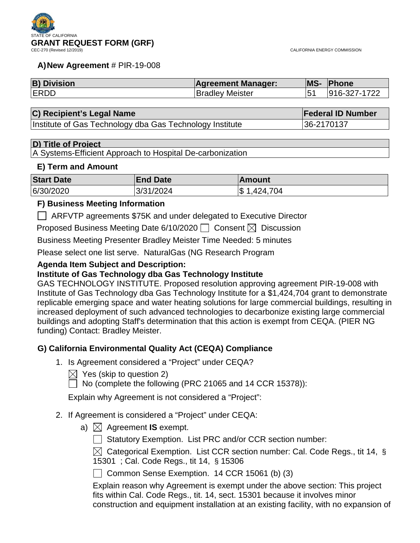

#### **A)New Agreement** # PIR-19-008

| <b>B) Division</b> | <b>Agreement Manager:</b> | MS- | <b>Phone</b> |
|--------------------|---------------------------|-----|--------------|
| <b>IERDD</b>       | <b>Bradley Meister</b>    |     | 916-327-1722 |

## **C) Recipient's Legal Name Federal ID Number Federal ID Number**

Institute of Gas Technology dba Gas Technology Institute | 36-2170137

#### **D) Title of Project**

A Systems-Efficient Approach to Hospital De-carbonization

#### **E) Term and Amount**

| <b>Start Date</b> | <b>End Date</b> | ∣Amount     |
|-------------------|-----------------|-------------|
| 6/30/2020         | 3/31/2024       | \$1,424,704 |

### **F) Business Meeting Information**

ARFVTP agreements \$75K and under delegated to Executive Director

Proposed Business Meeting Date 6/10/2020  $\Box$  Consent  $\boxtimes$  Discussion

Business Meeting Presenter Bradley Meister Time Needed: 5 minutes

Please select one list serve. NaturalGas (NG Research Program

### **Agenda Item Subject and Description:**

### **Institute of Gas Technology dba Gas Technology Institute**

GAS TECHNOLOGY INSTITUTE. Proposed resolution approving agreement PIR-19-008 with Institute of Gas Technology dba Gas Technology Institute for a \$1,424,704 grant to demonstrate replicable emerging space and water heating solutions for large commercial buildings, resulting in increased deployment of such advanced technologies to decarbonize existing large commercial buildings and adopting Staff's determination that this action is exempt from CEQA. (PIER NG funding) Contact: Bradley Meister.

## **G) California Environmental Quality Act (CEQA) Compliance**

- 1. Is Agreement considered a "Project" under CEQA?
	- $\boxtimes$  Yes (skip to question 2)

 $\Box$  No (complete the following (PRC 21065 and 14 CCR 15378)):

Explain why Agreement is not considered a "Project":

## 2. If Agreement is considered a "Project" under CEQA:

- a)  $\boxtimes$  Agreement **IS** exempt.
	- $\Box$  Statutory Exemption. List PRC and/or CCR section number:

 $\boxtimes$  Categorical Exemption. List CCR section number: Cal. Code Regs., tit 14, § 15301 ; Cal. Code Regs., tit 14, § 15306

Common Sense Exemption.  $14$  CCR 15061 (b) (3)

Explain reason why Agreement is exempt under the above section: This project fits within Cal. Code Regs., tit. 14, sect. 15301 because it involves minor construction and equipment installation at an existing facility, with no expansion of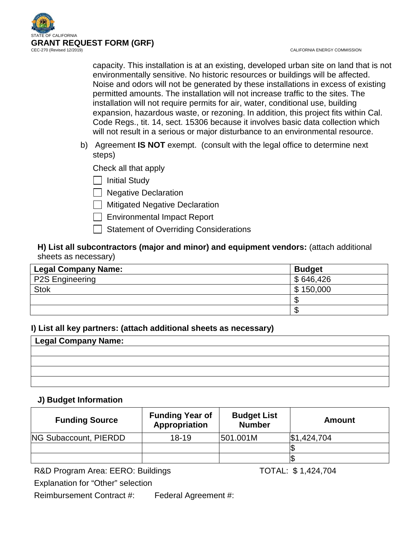

capacity. This installation is at an existing, developed urban site on land that is not environmentally sensitive. No historic resources or buildings will be affected. Noise and odors will not be generated by these installations in excess of existing permitted amounts. The installation will not increase traffic to the sites. The installation will not require permits for air, water, conditional use, building expansion, hazardous waste, or rezoning. In addition, this project fits within Cal. Code Regs., tit. 14, sect. 15306 because it involves basic data collection which will not result in a serious or major disturbance to an environmental resource.

b) Agreement **IS NOT** exempt. (consult with the legal office to determine next steps)

Check all that apply

 $\Box$  Initial Study

 $\Box$  Negative Declaration

- $\Box$  Mitigated Negative Declaration
- Environmental Impact Report
- Statement of Overriding Considerations

## **H) List all subcontractors (major and minor) and equipment vendors:** (attach additional sheets as necessary)

| <b>Legal Company Name:</b> | <b>Budget</b> |
|----------------------------|---------------|
| <b>P2S Engineering</b>     | \$646,426     |
| <b>Stok</b>                | 150,000<br>\$ |
|                            | ۰D            |
|                            | - 11          |

## **I) List all key partners: (attach additional sheets as necessary)**

| Legal Company Name: |  |  |
|---------------------|--|--|
|                     |  |  |
|                     |  |  |
|                     |  |  |
|                     |  |  |

## **J) Budget Information**

| <b>Funding Source</b>        | <b>Funding Year of</b><br>Appropriation | <b>Budget List</b><br><b>Number</b> | Amount      |
|------------------------------|-----------------------------------------|-------------------------------------|-------------|
| <b>NG Subaccount, PIERDD</b> | $18 - 19$                               | 501.001M                            | \$1,424,704 |
|                              |                                         |                                     |             |
|                              |                                         |                                     |             |

R&D Program Area: EERO: Buildings TOTAL: \$1,424,704

Explanation for "Other" selection

Reimbursement Contract #: Federal Agreement #: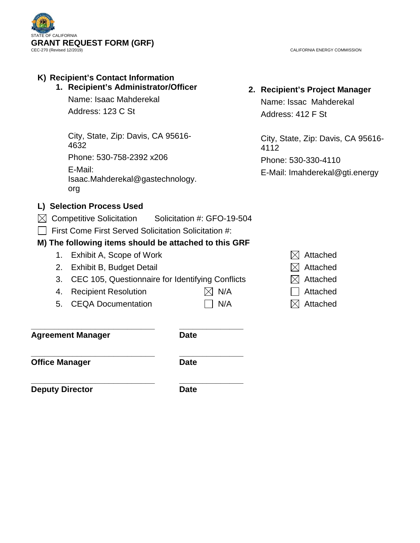

CALIFORNIA ENERGY COMMISSION

## **K) Recipient's Contact Information 1. Recipient's Administrator/Officer**

Name: Isaac Mahderekal Address: 123 C St

City, State, Zip: Davis, CA 95616- 4632 Phone: 530-758-2392 x206

E-Mail: Isaac.Mahderekal@gastechnology. org

# **L) Selection Process Used**

- $\boxtimes$  Competitive Solicitation Solicitation #: GFO-19-504
- $\Box$  First Come First Served Solicitation Solicitation #:

## **M) The following items should be attached to this GRF**

- 1. Exhibit A, Scope of Work  $\boxtimes$  Attached
- 2. Exhibit B, Budget Detail  $\boxtimes$  Attached
- 3. CEC 105, Questionnaire for Identifying Conflicts  $\boxtimes$  Attached
- 4. Recipient Resolution  $\boxtimes$  N/A  $\Box$  Attached
- 5. CEQA Documentation  $\Box$  N/A  $\boxtimes$  Attached
- 

**\_\_\_\_\_\_\_\_\_\_\_\_\_\_\_\_\_\_\_\_\_\_\_\_\_\_\_ \_\_\_\_\_\_\_\_\_\_\_\_\_\_ Agreement Manager Date**

**\_\_\_\_\_\_\_\_\_\_\_\_\_\_\_\_\_\_\_\_\_\_\_\_\_\_\_ \_\_\_\_\_\_\_\_\_\_\_\_\_\_ Office Manager Date** 

**\_\_\_\_\_\_\_\_\_\_\_\_\_\_\_\_\_\_\_\_\_\_\_\_\_\_\_ \_\_\_\_\_\_\_\_\_\_\_\_\_\_ Deputy Director Date** 

**2. Recipient's Project Manager**

Name: Issac Mahderekal Address: 412 F St

City, State, Zip: Davis, CA 95616- 4112 Phone: 530-330-4110 E-Mail: Imahderekal@gti.energy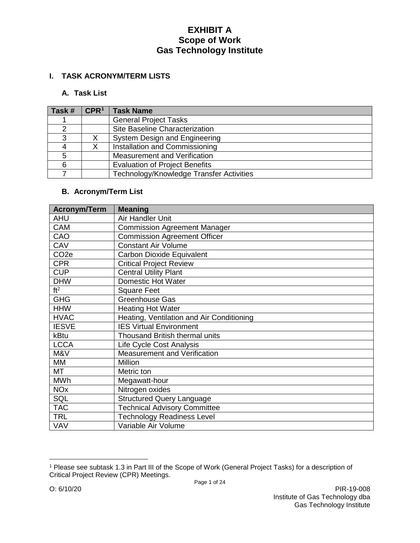## **I. TASK ACRONYM/TERM LISTS**

### **A. Task List**

| Task# | CPR <sup>1</sup> | <b>Task Name</b>                         |
|-------|------------------|------------------------------------------|
|       |                  | <b>General Project Tasks</b>             |
|       |                  | Site Baseline Characterization           |
| ◠     |                  | System Design and Engineering            |
|       |                  | Installation and Commissioning           |
| 5     |                  | Measurement and Verification             |
| 6     |                  | <b>Evaluation of Project Benefits</b>    |
|       |                  | Technology/Knowledge Transfer Activities |

## **B. Acronym/Term List**

| <b>Acronym/Term</b>   | <b>Meaning</b>                            |
|-----------------------|-------------------------------------------|
| <b>AHU</b>            | Air Handler Unit                          |
| <b>CAM</b>            | <b>Commission Agreement Manager</b>       |
| CAO                   | <b>Commission Agreement Officer</b>       |
| CAV                   | <b>Constant Air Volume</b>                |
| CO <sub>2e</sub>      | Carbon Dioxide Equivalent                 |
| <b>CPR</b>            | <b>Critical Project Review</b>            |
| <b>CUP</b>            | Central Utility Plant                     |
| <b>DHW</b>            | <b>Domestic Hot Water</b>                 |
| ft <sup>2</sup>       | <b>Square Feet</b>                        |
| <b>GHG</b>            | Greenhouse Gas                            |
| <b>HHW</b>            | <b>Heating Hot Water</b>                  |
| <b>HVAC</b>           | Heating, Ventilation and Air Conditioning |
| <b>IESVE</b>          | <b>IES Virtual Environment</b>            |
| kBtu                  | <b>Thousand British thermal units</b>     |
| <b>LCCA</b>           | Life Cycle Cost Analysis                  |
| M&V                   | Measurement and Verification              |
| <b>MM</b>             | <b>Million</b>                            |
| <b>MT</b>             | Metric ton                                |
| <b>MWh</b>            | Megawatt-hour                             |
| <b>NO<sub>x</sub></b> | Nitrogen oxides                           |
| SQL                   | <b>Structured Query Language</b>          |
| <b>TAC</b>            | <b>Technical Advisory Committee</b>       |
| <b>TRL</b>            | <b>Technology Readiness Level</b>         |
| <b>VAV</b>            | Variable Air Volume                       |

 $\overline{a}$ 

<span id="page-3-0"></span><sup>1</sup> Please see subtask 1.3 in Part III of the Scope of Work (General Project Tasks) for a description of Critical Project Review (CPR) Meetings.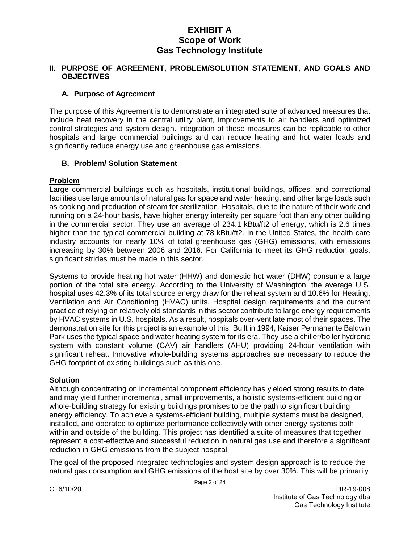#### **II. PURPOSE OF AGREEMENT, PROBLEM/SOLUTION STATEMENT, AND GOALS AND OBJECTIVES**

### **A. Purpose of Agreement**

The purpose of this Agreement is to demonstrate an integrated suite of advanced measures that include heat recovery in the central utility plant, improvements to air handlers and optimized control strategies and system design. Integration of these measures can be replicable to other hospitals and large commercial buildings and can reduce heating and hot water loads and significantly reduce energy use and greenhouse gas emissions.

### **B. Problem/ Solution Statement**

### **Problem**

Large commercial buildings such as hospitals, institutional buildings, offices, and correctional facilities use large amounts of natural gas for space and water heating, and other large loads such as cooking and production of steam for sterilization. Hospitals, due to the nature of their work and running on a 24-hour basis, have higher energy intensity per square foot than any other building in the commercial sector. They use an average of 234.1 kBtu/ft2 of energy, which is 2.6 times higher than the typical commercial building at 78 kBtu/ft2. In the United States, the health care industry accounts for nearly 10% of total greenhouse gas (GHG) emissions, with emissions increasing by 30% between 2006 and 2016. For California to meet its GHG reduction goals, significant strides must be made in this sector.

Systems to provide heating hot water (HHW) and domestic hot water (DHW) consume a large portion of the total site energy. According to the University of Washington, the average U.S. hospital uses 42.3% of its total source energy draw for the reheat system and 10.6% for Heating, Ventilation and Air Conditioning (HVAC) units. Hospital design requirements and the current practice of relying on relatively old standards in this sector contribute to large energy requirements by HVAC systems in U.S. hospitals. As a result, hospitals over-ventilate most of their spaces. The demonstration site for this project is an example of this. Built in 1994, Kaiser Permanente Baldwin Park uses the typical space and water heating system for its era. They use a chiller/boiler hydronic system with constant volume (CAV) air handlers (AHU) providing 24-hour ventilation with significant reheat. Innovative whole-building systems approaches are necessary to reduce the GHG footprint of existing buildings such as this one.

## **Solution**

Although concentrating on incremental component efficiency has yielded strong results to date, and may yield further incremental, small improvements, a holistic systems-efficient building or whole-building strategy for existing buildings promises to be the path to significant building energy efficiency. To achieve a systems-efficient building, multiple systems must be designed, installed, and operated to optimize performance collectively with other energy systems both within and outside of the building. This project has identified a suite of measures that together represent a cost-effective and successful reduction in natural gas use and therefore a significant reduction in GHG emissions from the subject hospital.

The goal of the proposed integrated technologies and system design approach is to reduce the natural gas consumption and GHG emissions of the host site by over 30%. This will be primarily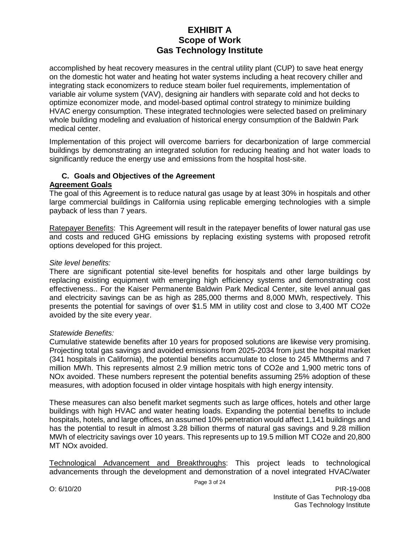accomplished by heat recovery measures in the central utility plant (CUP) to save heat energy on the domestic hot water and heating hot water systems including a heat recovery chiller and integrating stack economizers to reduce steam boiler fuel requirements, implementation of variable air volume system (VAV), designing air handlers with separate cold and hot decks to optimize economizer mode, and model-based optimal control strategy to minimize building HVAC energy consumption. These integrated technologies were selected based on preliminary whole building modeling and evaluation of historical energy consumption of the Baldwin Park medical center.

Implementation of this project will overcome barriers for decarbonization of large commercial buildings by demonstrating an integrated solution for reducing heating and hot water loads to significantly reduce the energy use and emissions from the hospital host-site.

# **C. Goals and Objectives of the Agreement**

### **Agreement Goals**

The goal of this Agreement is to reduce natural gas usage by at least 30% in hospitals and other large commercial buildings in California using replicable emerging technologies with a simple payback of less than 7 years.

Ratepayer Benefits: This Agreement will result in the ratepayer benefits of lower natural gas use and costs and reduced GHG emissions by replacing existing systems with proposed retrofit options developed for this project.

### *Site level benefits:*

There are significant potential site-level benefits for hospitals and other large buildings by replacing existing equipment with emerging high efficiency systems and demonstrating cost effectiveness.. For the Kaiser Permanente Baldwin Park Medical Center, site level annual gas and electricity savings can be as high as 285,000 therms and 8,000 MWh, respectively. This presents the potential for savings of over \$1.5 MM in utility cost and close to 3,400 MT CO2e avoided by the site every year.

### *Statewide Benefits:*

Cumulative statewide benefits after 10 years for proposed solutions are likewise very promising. Projecting total gas savings and avoided emissions from 2025-2034 from just the hospital market (341 hospitals in California), the potential benefits accumulate to close to 245 MMtherms and 7 million MWh. This represents almost 2.9 million metric tons of CO2e and 1,900 metric tons of NOx avoided. These numbers represent the potential benefits assuming 25% adoption of these measures, with adoption focused in older vintage hospitals with high energy intensity.

These measures can also benefit market segments such as large offices, hotels and other large buildings with high HVAC and water heating loads. Expanding the potential benefits to include hospitals, hotels, and large offices, an assumed 10% penetration would affect 1,141 buildings and has the potential to result in almost 3.28 billion therms of natural gas savings and 9.28 million MWh of electricity savings over 10 years. This represents up to 19.5 million MT CO2e and 20,800 MT NOx avoided.

Technological Advancement and Breakthroughs: This project leads to technological advancements through the development and demonstration of a novel integrated HVAC/water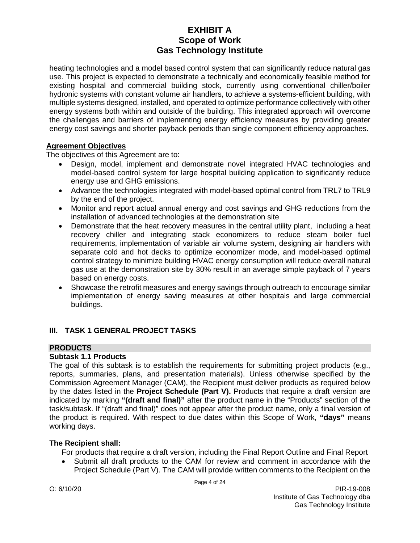heating technologies and a model based control system that can significantly reduce natural gas use. This project is expected to demonstrate a technically and economically feasible method for existing hospital and commercial building stock, currently using conventional chiller/boiler hydronic systems with constant volume air handlers, to achieve a systems-efficient building, with multiple systems designed, installed, and operated to optimize performance collectively with other energy systems both within and outside of the building. This integrated approach will overcome the challenges and barriers of implementing energy efficiency measures by providing greater energy cost savings and shorter payback periods than single component efficiency approaches.

### **Agreement Objectives**

The objectives of this Agreement are to:

- Design, model, implement and demonstrate novel integrated HVAC technologies and model-based control system for large hospital building application to significantly reduce energy use and GHG emissions.
- Advance the technologies integrated with model-based optimal control from TRL7 to TRL9 by the end of the project.
- Monitor and report actual annual energy and cost savings and GHG reductions from the installation of advanced technologies at the demonstration site
- Demonstrate that the heat recovery measures in the central utility plant, including a heat recovery chiller and integrating stack economizers to reduce steam boiler fuel requirements, implementation of variable air volume system, designing air handlers with separate cold and hot decks to optimize economizer mode, and model-based optimal control strategy to minimize building HVAC energy consumption will reduce overall natural gas use at the demonstration site by 30% result in an average simple payback of 7 years based on energy costs.
- Showcase the retrofit measures and energy savings through outreach to encourage similar implementation of energy saving measures at other hospitals and large commercial buildings.

## **III. TASK 1 GENERAL PROJECT TASKS**

## **PRODUCTS**

## **Subtask 1.1 Products**

The goal of this subtask is to establish the requirements for submitting project products (e.g., reports, summaries, plans, and presentation materials). Unless otherwise specified by the Commission Agreement Manager (CAM), the Recipient must deliver products as required below by the dates listed in the **Project Schedule (Part V).** Products that require a draft version are indicated by marking **"(draft and final)"** after the product name in the "Products" section of the task/subtask. If "(draft and final)" does not appear after the product name, only a final version of the product is required. With respect to due dates within this Scope of Work, **"days"** means working days.

## **The Recipient shall:**

For products that require a draft version, including the Final Report Outline and Final Report

• Submit all draft products to the CAM for review and comment in accordance with the Project Schedule (Part V). The CAM will provide written comments to the Recipient on the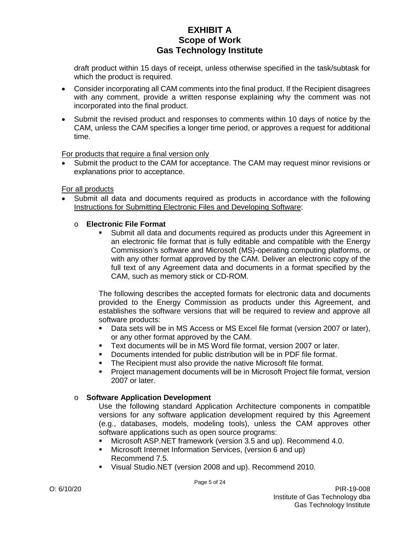draft product within 15 days of receipt, unless otherwise specified in the task/subtask for which the product is required.

- Consider incorporating all CAM comments into the final product. If the Recipient disagrees with any comment, provide a written response explaining why the comment was not incorporated into the final product.
- Submit the revised product and responses to comments within 10 days of notice by the CAM, unless the CAM specifies a longer time period, or approves a request for additional time.

For products that require a final version only

Submit the product to the CAM for acceptance. The CAM may request minor revisions or explanations prior to acceptance.

For all products

• Submit all data and documents required as products in accordance with the following Instructions for Submitting Electronic Files and Developing Software:

### o **Electronic File Format**

 Submit all data and documents required as products under this Agreement in an electronic file format that is fully editable and compatible with the Energy Commission's software and Microsoft (MS)-operating computing platforms, or with any other format approved by the CAM. Deliver an electronic copy of the full text of any Agreement data and documents in a format specified by the CAM, such as memory stick or CD-ROM.

The following describes the accepted formats for electronic data and documents provided to the Energy Commission as products under this Agreement, and establishes the software versions that will be required to review and approve all software products:

- Data sets will be in MS Access or MS Excel file format (version 2007 or later), or any other format approved by the CAM.
- Text documents will be in MS Word file format, version 2007 or later.
- Documents intended for public distribution will be in PDF file format.
- The Recipient must also provide the native Microsoft file format.
- Project management documents will be in Microsoft Project file format, version 2007 or later.

### o **Software Application Development**

Use the following standard Application Architecture components in compatible versions for any software application development required by this Agreement (e.g., databases, models, modeling tools), unless the CAM approves other software applications such as open source programs:

- Microsoft ASP.NET framework (version 3.5 and up). Recommend 4.0.
- Microsoft Internet Information Services, (version 6 and up) Recommend 7.5.
- Visual Studio.NET (version 2008 and up). Recommend 2010.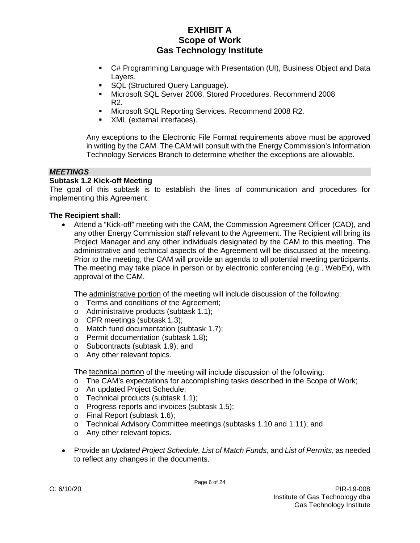- C# Programming Language with Presentation (UI), Business Object and Data Layers.
- **SQL (Structured Query Language).**
- Microsoft SQL Server 2008, Stored Procedures. Recommend 2008 R2.
- **Microsoft SQL Reporting Services. Recommend 2008 R2.**
- XML (external interfaces).

Any exceptions to the Electronic File Format requirements above must be approved in writing by the CAM. The CAM will consult with the Energy Commission's Information Technology Services Branch to determine whether the exceptions are allowable.

#### *MEETINGS*

#### **Subtask 1.2 Kick-off Meeting**

The goal of this subtask is to establish the lines of communication and procedures for implementing this Agreement.

#### **The Recipient shall:**

• Attend a "Kick-off" meeting with the CAM, the Commission Agreement Officer (CAO), and any other Energy Commission staff relevant to the Agreement. The Recipient will bring its Project Manager and any other individuals designated by the CAM to this meeting. The administrative and technical aspects of the Agreement will be discussed at the meeting. Prior to the meeting, the CAM will provide an agenda to all potential meeting participants. The meeting may take place in person or by electronic conferencing (e.g., WebEx), with approval of the CAM.

The administrative portion of the meeting will include discussion of the following:

- o Terms and conditions of the Agreement;
- o Administrative products (subtask 1.1);
- o CPR meetings (subtask 1.3);
- o Match fund documentation (subtask 1.7);
- o Permit documentation (subtask 1.8);
- o Subcontracts (subtask 1.9); and
- o Any other relevant topics.

The technical portion of the meeting will include discussion of the following:

- o The CAM's expectations for accomplishing tasks described in the Scope of Work;
- o An updated Project Schedule;
- o Technical products (subtask 1.1);
- o Progress reports and invoices (subtask 1.5);
- o Final Report (subtask 1.6);
- o Technical Advisory Committee meetings (subtasks 1.10 and 1.11); and
- o Any other relevant topics.
- Provide an *Updated Project Schedule, List of Match Funds,* and *List of Permits*, as needed to reflect any changes in the documents.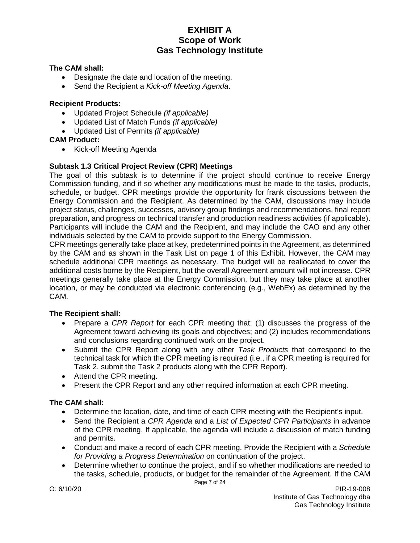#### **The CAM shall:**

- Designate the date and location of the meeting.
- Send the Recipient a *Kick-off Meeting Agenda*.

#### **Recipient Products:**

- Updated Project Schedule *(if applicable)*
- Updated List of Match Funds *(if applicable)*
- Updated List of Permits *(if applicable)*

### **CAM Product:**

• Kick-off Meeting Agenda

### **Subtask 1.3 Critical Project Review (CPR) Meetings**

The goal of this subtask is to determine if the project should continue to receive Energy Commission funding, and if so whether any modifications must be made to the tasks, products, schedule, or budget. CPR meetings provide the opportunity for frank discussions between the Energy Commission and the Recipient. As determined by the CAM, discussions may include project status, challenges, successes, advisory group findings and recommendations, final report preparation, and progress on technical transfer and production readiness activities (if applicable). Participants will include the CAM and the Recipient, and may include the CAO and any other individuals selected by the CAM to provide support to the Energy Commission.

CPR meetings generally take place at key, predetermined points in the Agreement, as determined by the CAM and as shown in the Task List on page 1 of this Exhibit. However, the CAM may schedule additional CPR meetings as necessary. The budget will be reallocated to cover the additional costs borne by the Recipient, but the overall Agreement amount will not increase. CPR meetings generally take place at the Energy Commission, but they may take place at another location, or may be conducted via electronic conferencing (e.g., WebEx) as determined by the CAM.

### **The Recipient shall:**

- Prepare a *CPR Report* for each CPR meeting that: (1) discusses the progress of the Agreement toward achieving its goals and objectives; and (2) includes recommendations and conclusions regarding continued work on the project.
- Submit the CPR Report along with any other *Task Products* that correspond to the technical task for which the CPR meeting is required (i.e., if a CPR meeting is required for Task 2, submit the Task 2 products along with the CPR Report).
- Attend the CPR meeting.
- Present the CPR Report and any other required information at each CPR meeting.

### **The CAM shall:**

- Determine the location, date, and time of each CPR meeting with the Recipient's input.
- Send the Recipient a *CPR Agenda* and a *List of Expected CPR Participants* in advance of the CPR meeting. If applicable, the agenda will include a discussion of match funding and permits.
- Conduct and make a record of each CPR meeting. Provide the Recipient with a *Schedule for Providing a Progress Determination* on continuation of the project.
- Page 7 of 24 • Determine whether to continue the project, and if so whether modifications are needed to the tasks, schedule, products, or budget for the remainder of the Agreement. If the CAM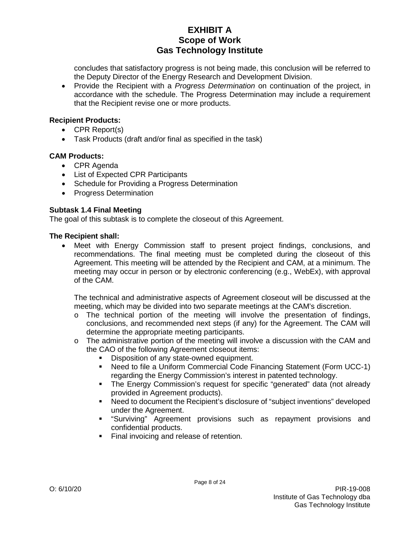concludes that satisfactory progress is not being made, this conclusion will be referred to the Deputy Director of the Energy Research and Development Division.

• Provide the Recipient with a *Progress Determination* on continuation of the project, in accordance with the schedule. The Progress Determination may include a requirement that the Recipient revise one or more products.

### **Recipient Products:**

- CPR Report(s)
- Task Products (draft and/or final as specified in the task)

## **CAM Products:**

- CPR Agenda
- List of Expected CPR Participants
- Schedule for Providing a Progress Determination
- Progress Determination

## **Subtask 1.4 Final Meeting**

The goal of this subtask is to complete the closeout of this Agreement.

### **The Recipient shall:**

Meet with Energy Commission staff to present project findings, conclusions, and recommendations. The final meeting must be completed during the closeout of this Agreement. This meeting will be attended by the Recipient and CAM, at a minimum. The meeting may occur in person or by electronic conferencing (e.g., WebEx), with approval of the CAM.

The technical and administrative aspects of Agreement closeout will be discussed at the meeting, which may be divided into two separate meetings at the CAM's discretion.

- o The technical portion of the meeting will involve the presentation of findings, conclusions, and recommended next steps (if any) for the Agreement. The CAM will determine the appropriate meeting participants.
- $\circ$  The administrative portion of the meeting will involve a discussion with the CAM and the CAO of the following Agreement closeout items:
	- Disposition of any state-owned equipment.
	- Need to file a Uniform Commercial Code Financing Statement (Form UCC-1) regarding the Energy Commission's interest in patented technology.
	- The Energy Commission's request for specific "generated" data (not already provided in Agreement products).
	- Need to document the Recipient's disclosure of "subject inventions" developed under the Agreement.
	- "Surviving" Agreement provisions such as repayment provisions and confidential products.
	- **Final invoicing and release of retention.**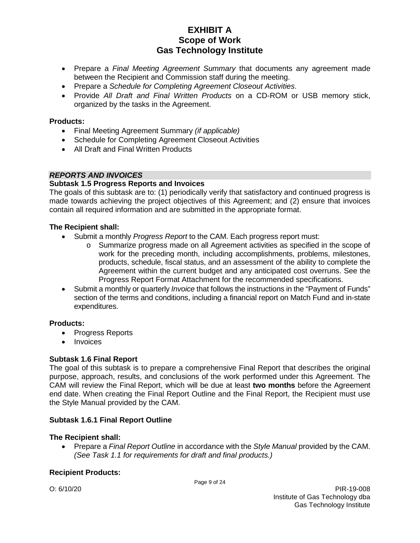- Prepare a *Final Meeting Agreement Summary* that documents any agreement made between the Recipient and Commission staff during the meeting.
- Prepare a *Schedule for Completing Agreement Closeout Activities*.
- Provide *All Draft and Final Written Products* on a CD-ROM or USB memory stick, organized by the tasks in the Agreement.

### **Products:**

- Final Meeting Agreement Summary *(if applicable)*
- Schedule for Completing Agreement Closeout Activities
- All Draft and Final Written Products

### *REPORTS AND INVOICES*

### **Subtask 1.5 Progress Reports and Invoices**

The goals of this subtask are to: (1) periodically verify that satisfactory and continued progress is made towards achieving the project objectives of this Agreement; and (2) ensure that invoices contain all required information and are submitted in the appropriate format.

#### **The Recipient shall:**

- Submit a monthly *Progress Report* to the CAM. Each progress report must:
	- o Summarize progress made on all Agreement activities as specified in the scope of work for the preceding month, including accomplishments, problems, milestones, products, schedule, fiscal status, and an assessment of the ability to complete the Agreement within the current budget and any anticipated cost overruns. See the Progress Report Format Attachment for the recommended specifications.
- Submit a monthly or quarterly *Invoice* that follows the instructions in the "Payment of Funds" section of the terms and conditions, including a financial report on Match Fund and in-state expenditures.

### **Products:**

- Progress Reports
- Invoices

### **Subtask 1.6 Final Report**

The goal of this subtask is to prepare a comprehensive Final Report that describes the original purpose, approach, results, and conclusions of the work performed under this Agreement. The CAM will review the Final Report, which will be due at least **two months** before the Agreement end date. When creating the Final Report Outline and the Final Report, the Recipient must use the Style Manual provided by the CAM.

### **Subtask 1.6.1 Final Report Outline**

### **The Recipient shall:**

• Prepare a *Final Report Outline* in accordance with the *Style Manual* provided by the CAM. *(See Task 1.1 for requirements for draft and final products.)*

### **Recipient Products:**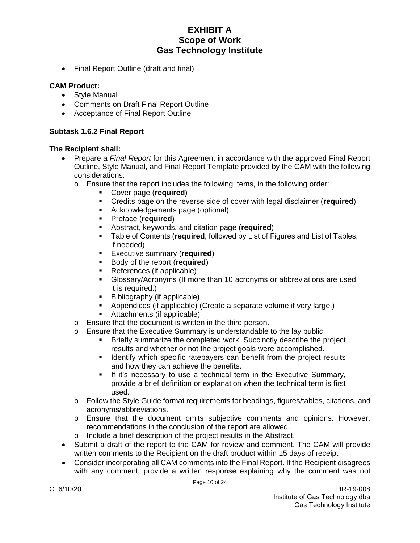• Final Report Outline (draft and final)

#### **CAM Product:**

- Style Manual
- Comments on Draft Final Report Outline
- Acceptance of Final Report Outline

#### **Subtask 1.6.2 Final Report**

- Prepare a *Final Report* for this Agreement in accordance with the approved Final Report Outline, Style Manual, and Final Report Template provided by the CAM with the following considerations:
	- $\circ$  Ensure that the report includes the following items, in the following order:
		- Cover page (**required**)
		- Credits page on the reverse side of cover with legal disclaimer (**required**)
		- Acknowledgements page (optional)
		- Preface (**required**)
		- **Abstract, keywords, and citation page (required)**<br>**E** Table of Contents (required followed by List of F
		- Table of Contents (**required**, followed by List of Figures and List of Tables, if needed)
		- **Executive summary (required)**
		- **Body of the report (required)**
		- References (if applicable)
		- Glossary/Acronyms (If more than 10 acronyms or abbreviations are used, it is required.)
		- Bibliography (if applicable)
		- Appendices (if applicable) (Create a separate volume if very large.)
		- Attachments (if applicable)
	- o Ensure that the document is written in the third person.
	- o Ensure that the Executive Summary is understandable to the lay public.
		- Briefly summarize the completed work. Succinctly describe the project results and whether or not the project goals were accomplished.
		- **If Identify which specific ratepayers can benefit from the project results** and how they can achieve the benefits.
		- If it's necessary to use a technical term in the Executive Summary, provide a brief definition or explanation when the technical term is first used.
	- o Follow the Style Guide format requirements for headings, figures/tables, citations, and acronyms/abbreviations.
	- o Ensure that the document omits subjective comments and opinions. However, recommendations in the conclusion of the report are allowed.
	- o Include a brief description of the project results in the Abstract.
- Submit a draft of the report to the CAM for review and comment. The CAM will provide written comments to the Recipient on the draft product within 15 days of receipt
- Consider incorporating all CAM comments into the Final Report. If the Recipient disagrees with any comment, provide a written response explaining why the comment was not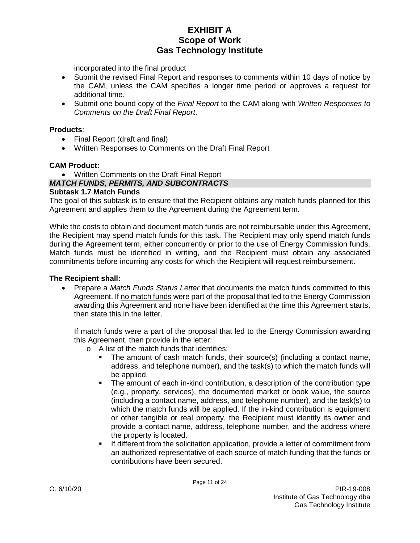incorporated into the final product

- Submit the revised Final Report and responses to comments within 10 days of notice by the CAM, unless the CAM specifies a longer time period or approves a request for additional time.
- Submit one bound copy of the *Final Report* to the CAM along with *Written Responses to Comments on the Draft Final Report*.

#### **Products**:

- Final Report (draft and final)
- Written Responses to Comments on the Draft Final Report

#### **CAM Product:**

• Written Comments on the Draft Final Report

### *MATCH FUNDS, PERMITS, AND SUBCONTRACTS*

#### **Subtask 1.7 Match Funds**

The goal of this subtask is to ensure that the Recipient obtains any match funds planned for this Agreement and applies them to the Agreement during the Agreement term.

While the costs to obtain and document match funds are not reimbursable under this Agreement, the Recipient may spend match funds for this task. The Recipient may only spend match funds during the Agreement term, either concurrently or prior to the use of Energy Commission funds. Match funds must be identified in writing, and the Recipient must obtain any associated commitments before incurring any costs for which the Recipient will request reimbursement.

### **The Recipient shall:**

• Prepare a *Match Funds Status Letter* that documents the match funds committed to this Agreement. If no match funds were part of the proposal that led to the Energy Commission awarding this Agreement and none have been identified at the time this Agreement starts, then state this in the letter.

If match funds were a part of the proposal that led to the Energy Commission awarding this Agreement, then provide in the letter:

- o A list of the match funds that identifies:
	- The amount of cash match funds, their source(s) (including a contact name, address, and telephone number), and the task(s) to which the match funds will be applied.
	- The amount of each in-kind contribution, a description of the contribution type (e.g., property, services), the documented market or book value, the source (including a contact name, address, and telephone number), and the task(s) to which the match funds will be applied. If the in-kind contribution is equipment or other tangible or real property, the Recipient must identify its owner and provide a contact name, address, telephone number, and the address where the property is located.
	- If different from the solicitation application, provide a letter of commitment from an authorized representative of each source of match funding that the funds or contributions have been secured.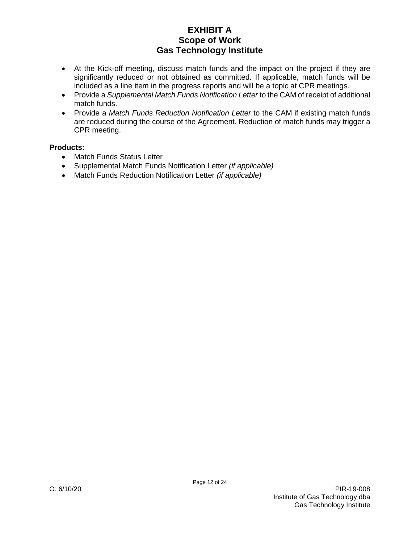- At the Kick-off meeting, discuss match funds and the impact on the project if they are significantly reduced or not obtained as committed. If applicable, match funds will be included as a line item in the progress reports and will be a topic at CPR meetings.
- Provide a *Supplemental Match Funds Notification Letter* to the CAM of receipt of additional match funds.
- Provide a *Match Funds Reduction Notification Letter* to the CAM if existing match funds are reduced during the course of the Agreement. Reduction of match funds may trigger a CPR meeting.

### **Products:**

- Match Funds Status Letter
- Supplemental Match Funds Notification Letter *(if applicable)*
- Match Funds Reduction Notification Letter *(if applicable)*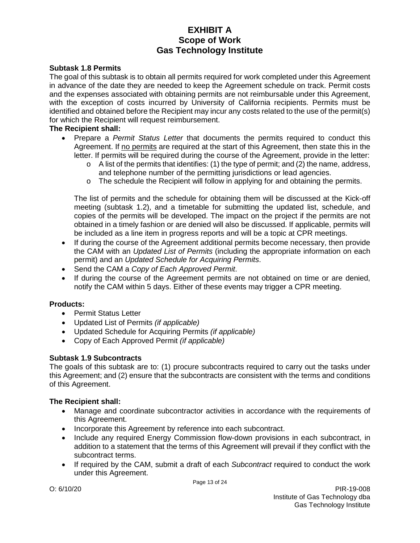#### **Subtask 1.8 Permits**

The goal of this subtask is to obtain all permits required for work completed under this Agreement in advance of the date they are needed to keep the Agreement schedule on track. Permit costs and the expenses associated with obtaining permits are not reimbursable under this Agreement, with the exception of costs incurred by University of California recipients. Permits must be identified and obtained before the Recipient may incur any costs related to the use of the permit(s) for which the Recipient will request reimbursement.

#### **The Recipient shall:**

- Prepare a *Permit Status Letter* that documents the permits required to conduct this Agreement. If no permits are required at the start of this Agreement, then state this in the letter. If permits will be required during the course of the Agreement, provide in the letter:
	- $\circ$  A list of the permits that identifies: (1) the type of permit; and (2) the name, address, and telephone number of the permitting jurisdictions or lead agencies.
	- $\circ$  The schedule the Recipient will follow in applying for and obtaining the permits.

The list of permits and the schedule for obtaining them will be discussed at the Kick-off meeting (subtask 1.2), and a timetable for submitting the updated list, schedule, and copies of the permits will be developed. The impact on the project if the permits are not obtained in a timely fashion or are denied will also be discussed. If applicable, permits will be included as a line item in progress reports and will be a topic at CPR meetings.

- If during the course of the Agreement additional permits become necessary, then provide the CAM with an *Updated List of Permits* (including the appropriate information on each permit) and an *Updated Schedule for Acquiring Permits*.
- Send the CAM a *Copy of Each Approved Permit*.
- If during the course of the Agreement permits are not obtained on time or are denied, notify the CAM within 5 days. Either of these events may trigger a CPR meeting.

#### **Products:**

- Permit Status Letter
- Updated List of Permits *(if applicable)*
- Updated Schedule for Acquiring Permits *(if applicable)*
- Copy of Each Approved Permit *(if applicable)*

### **Subtask 1.9 Subcontracts**

The goals of this subtask are to: (1) procure subcontracts required to carry out the tasks under this Agreement; and (2) ensure that the subcontracts are consistent with the terms and conditions of this Agreement.

#### **The Recipient shall:**

- Manage and coordinate subcontractor activities in accordance with the requirements of this Agreement.
- Incorporate this Agreement by reference into each subcontract.
- Include any required Energy Commission flow-down provisions in each subcontract, in addition to a statement that the terms of this Agreement will prevail if they conflict with the subcontract terms.
- If required by the CAM, submit a draft of each *Subcontract* required to conduct the work under this Agreement.

Page 13 of 24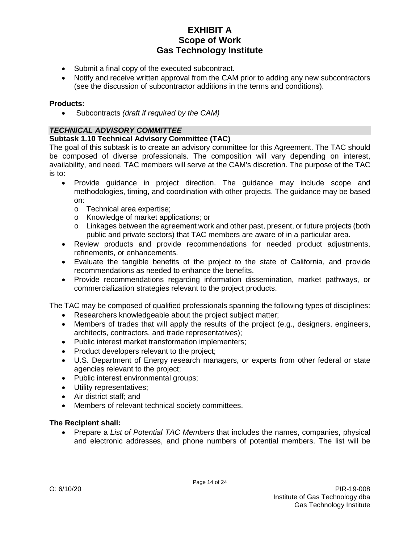- Submit a final copy of the executed subcontract.
- Notify and receive written approval from the CAM prior to adding any new subcontractors (see the discussion of subcontractor additions in the terms and conditions).

### **Products:**

• Subcontracts *(draft if required by the CAM)*

## *TECHNICAL ADVISORY COMMITTEE*

### **Subtask 1.10 Technical Advisory Committee (TAC)**

The goal of this subtask is to create an advisory committee for this Agreement. The TAC should be composed of diverse professionals. The composition will vary depending on interest, availability, and need. TAC members will serve at the CAM's discretion. The purpose of the TAC is to:

- Provide guidance in project direction. The guidance may include scope and methodologies, timing, and coordination with other projects. The guidance may be based on:
	- o Technical area expertise;
	- o Knowledge of market applications; or
	- o Linkages between the agreement work and other past, present, or future projects (both public and private sectors) that TAC members are aware of in a particular area.
- Review products and provide recommendations for needed product adjustments, refinements, or enhancements.
- Evaluate the tangible benefits of the project to the state of California, and provide recommendations as needed to enhance the benefits.
- Provide recommendations regarding information dissemination, market pathways, or commercialization strategies relevant to the project products.

The TAC may be composed of qualified professionals spanning the following types of disciplines:

- Researchers knowledgeable about the project subject matter;
- Members of trades that will apply the results of the project (e.g., designers, engineers, architects, contractors, and trade representatives);
- Public interest market transformation implementers;
- Product developers relevant to the project;
- U.S. Department of Energy research managers, or experts from other federal or state agencies relevant to the project;
- Public interest environmental groups;
- Utility representatives;
- Air district staff; and
- Members of relevant technical society committees.

### **The Recipient shall:**

• Prepare a *List of Potential TAC Members* that includes the names, companies, physical and electronic addresses, and phone numbers of potential members. The list will be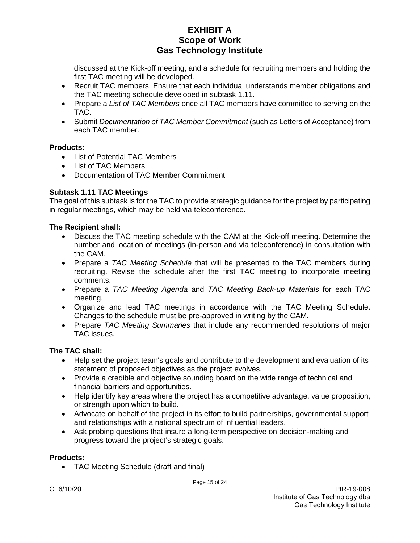discussed at the Kick-off meeting, and a schedule for recruiting members and holding the first TAC meeting will be developed.

- Recruit TAC members. Ensure that each individual understands member obligations and the TAC meeting schedule developed in subtask 1.11.
- Prepare a *List of TAC Members* once all TAC members have committed to serving on the TAC.
- Submit *Documentation of TAC Member Commitment* (such as Letters of Acceptance) from each TAC member.

### **Products:**

- List of Potential TAC Members
- List of TAC Members
- Documentation of TAC Member Commitment

## **Subtask 1.11 TAC Meetings**

The goal of this subtask is for the TAC to provide strategic guidance for the project by participating in regular meetings, which may be held via teleconference.

### **The Recipient shall:**

- Discuss the TAC meeting schedule with the CAM at the Kick-off meeting. Determine the number and location of meetings (in-person and via teleconference) in consultation with the CAM.
- Prepare a *TAC Meeting Schedule* that will be presented to the TAC members during recruiting. Revise the schedule after the first TAC meeting to incorporate meeting comments.
- Prepare a *TAC Meeting Agenda* and *TAC Meeting Back-up Materials* for each TAC meeting.
- Organize and lead TAC meetings in accordance with the TAC Meeting Schedule. Changes to the schedule must be pre-approved in writing by the CAM.
- Prepare *TAC Meeting Summaries* that include any recommended resolutions of major TAC issues.

## **The TAC shall:**

- Help set the project team's goals and contribute to the development and evaluation of its statement of proposed objectives as the project evolves.
- Provide a credible and objective sounding board on the wide range of technical and financial barriers and opportunities.
- Help identify key areas where the project has a competitive advantage, value proposition, or strength upon which to build.
- Advocate on behalf of the project in its effort to build partnerships, governmental support and relationships with a national spectrum of influential leaders.
- Ask probing questions that insure a long-term perspective on decision-making and progress toward the project's strategic goals.

### **Products:**

• TAC Meeting Schedule (draft and final)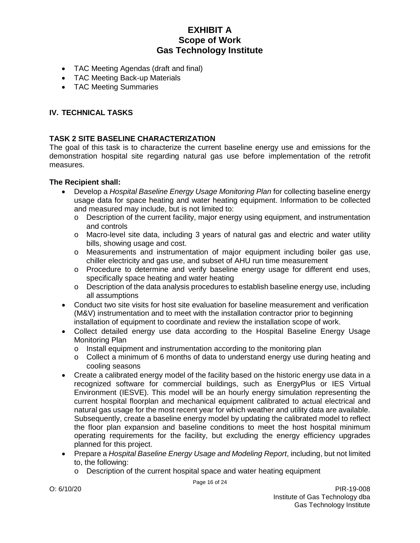- TAC Meeting Agendas (draft and final)
- TAC Meeting Back-up Materials
- TAC Meeting Summaries

### **IV. TECHNICAL TASKS**

#### **TASK 2 SITE BASELINE CHARACTERIZATION**

The goal of this task is to characterize the current baseline energy use and emissions for the demonstration hospital site regarding natural gas use before implementation of the retrofit measures.

- Develop a *Hospital Baseline Energy Usage Monitoring Plan* for collecting baseline energy usage data for space heating and water heating equipment. Information to be collected and measured may include, but is not limited to:
	- $\circ$  Description of the current facility, major energy using equipment, and instrumentation and controls
	- o Macro-level site data, including 3 years of natural gas and electric and water utility bills, showing usage and cost.
	- o Measurements and instrumentation of major equipment including boiler gas use, chiller electricity and gas use, and subset of AHU run time measurement
	- o Procedure to determine and verify baseline energy usage for different end uses, specifically space heating and water heating
	- o Description of the data analysis procedures to establish baseline energy use, including all assumptions
- Conduct two site visits for host site evaluation for baseline measurement and verification (M&V) instrumentation and to meet with the installation contractor prior to beginning installation of equipment to coordinate and review the installation scope of work.
- Collect detailed energy use data according to the Hospital Baseline Energy Usage Monitoring Plan
	- o Install equipment and instrumentation according to the monitoring plan
	- $\circ$  Collect a minimum of 6 months of data to understand energy use during heating and cooling seasons
- Create a calibrated energy model of the facility based on the historic energy use data in a recognized software for commercial buildings, such as EnergyPlus or IES Virtual Environment (IESVE). This model will be an hourly energy simulation representing the current hospital floorplan and mechanical equipment calibrated to actual electrical and natural gas usage for the most recent year for which weather and utility data are available. Subsequently, create a baseline energy model by updating the calibrated model to reflect the floor plan expansion and baseline conditions to meet the host hospital minimum operating requirements for the facility, but excluding the energy efficiency upgrades planned for this project.
- Prepare a *Hospital Baseline Energy Usage and Modeling Report*, including, but not limited to, the following:
	- o Description of the current hospital space and water heating equipment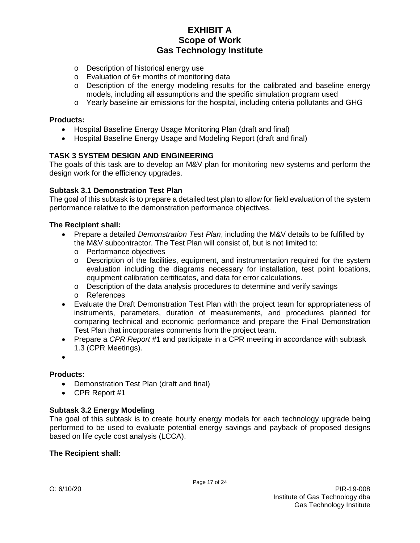- o Description of historical energy use
- o Evaluation of 6+ months of monitoring data
- $\circ$  Description of the energy modeling results for the calibrated and baseline energy models, including all assumptions and the specific simulation program used
- o Yearly baseline air emissions for the hospital, including criteria pollutants and GHG

#### **Products:**

- Hospital Baseline Energy Usage Monitoring Plan (draft and final)
- Hospital Baseline Energy Usage and Modeling Report (draft and final)

### **TASK 3 SYSTEM DESIGN AND ENGINEERING**

The goals of this task are to develop an M&V plan for monitoring new systems and perform the design work for the efficiency upgrades.

#### **Subtask 3.1 Demonstration Test Plan**

The goal of this subtask is to prepare a detailed test plan to allow for field evaluation of the system performance relative to the demonstration performance objectives.

#### **The Recipient shall:**

- Prepare a detailed *Demonstration Test Plan*, including the M&V details to be fulfilled by the M&V subcontractor. The Test Plan will consist of, but is not limited to:
	- o Performance objectives
	- o Description of the facilities, equipment, and instrumentation required for the system evaluation including the diagrams necessary for installation, test point locations, equipment calibration certificates, and data for error calculations.
	- $\circ$  Description of the data analysis procedures to determine and verify savings
	- o References
- Evaluate the Draft Demonstration Test Plan with the project team for appropriateness of instruments, parameters, duration of measurements, and procedures planned for comparing technical and economic performance and prepare the Final Demonstration Test Plan that incorporates comments from the project team.
- Prepare a *CPR Report* #1 and participate in a CPR meeting in accordance with subtask 1.3 (CPR Meetings).
- •

#### **Products:**

- Demonstration Test Plan (draft and final)
- CPR Report #1

#### **Subtask 3.2 Energy Modeling**

The goal of this subtask is to create hourly energy models for each technology upgrade being performed to be used to evaluate potential energy savings and payback of proposed designs based on life cycle cost analysis (LCCA).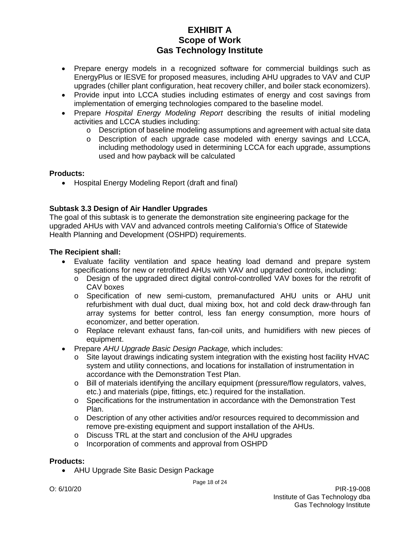- Prepare energy models in a recognized software for commercial buildings such as EnergyPlus or IESVE for proposed measures, including AHU upgrades to VAV and CUP upgrades (chiller plant configuration, heat recovery chiller, and boiler stack economizers).
- Provide input into LCCA studies including estimates of energy and cost savings from implementation of emerging technologies compared to the baseline model.
- Prepare *Hospital Energy Modeling Report* describing the results of initial modeling activities and LCCA studies including:
	- o Description of baseline modeling assumptions and agreement with actual site data<br>o Description of each upgrade case modeled with energy savings and LCCA.
	- Description of each upgrade case modeled with energy savings and LCCA, including methodology used in determining LCCA for each upgrade, assumptions used and how payback will be calculated

### **Products:**

• Hospital Energy Modeling Report (draft and final)

## **Subtask 3.3 Design of Air Handler Upgrades**

The goal of this subtask is to generate the demonstration site engineering package for the upgraded AHUs with VAV and advanced controls meeting California's Office of Statewide Health Planning and Development (OSHPD) requirements.

### **The Recipient shall:**

- Evaluate facility ventilation and space heating load demand and prepare system specifications for new or retrofitted AHUs with VAV and upgraded controls, including:
	- o Design of the upgraded direct digital control-controlled VAV boxes for the retrofit of CAV boxes
	- o Specification of new semi-custom, premanufactured AHU units or AHU unit refurbishment with dual duct, dual mixing box, hot and cold deck draw-through fan array systems for better control, less fan energy consumption, more hours of economizer, and better operation.
	- o Replace relevant exhaust fans, fan-coil units, and humidifiers with new pieces of equipment.
- Prepare *AHU Upgrade Basic Design Package,* which includes:
	- $\circ$  Site layout drawings indicating system integration with the existing host facility HVAC system and utility connections, and locations for installation of instrumentation in accordance with the Demonstration Test Plan.
	- o Bill of materials identifying the ancillary equipment (pressure/flow regulators, valves, etc.) and materials (pipe, fittings, etc.) required for the installation.
	- o Specifications for the instrumentation in accordance with the Demonstration Test Plan.
	- o Description of any other activities and/or resources required to decommission and remove pre-existing equipment and support installation of the AHUs.

Page 18 of 24

- o Discuss TRL at the start and conclusion of the AHU upgrades
- o Incorporation of comments and approval from OSHPD

#### **Products:**

• AHU Upgrade Site Basic Design Package

O: 6/10/20 PIR-19-008 Institute of Gas Technology dba Gas Technology Institute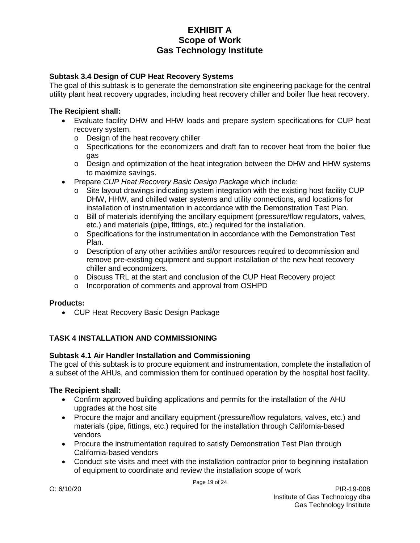### **Subtask 3.4 Design of CUP Heat Recovery Systems**

The goal of this subtask is to generate the demonstration site engineering package for the central utility plant heat recovery upgrades, including heat recovery chiller and boiler flue heat recovery.

#### **The Recipient shall:**

- Evaluate facility DHW and HHW loads and prepare system specifications for CUP heat recovery system.
	- o Design of the heat recovery chiller
	- o Specifications for the economizers and draft fan to recover heat from the boiler flue gas
	- $\circ$  Design and optimization of the heat integration between the DHW and HHW systems to maximize savings.
- Prepare *CUP Heat Recovery Basic Design Package* which include:
	- $\circ$  Site layout drawings indicating system integration with the existing host facility CUP DHW, HHW, and chilled water systems and utility connections, and locations for installation of instrumentation in accordance with the Demonstration Test Plan.
	- o Bill of materials identifying the ancillary equipment (pressure/flow regulators, valves, etc.) and materials (pipe, fittings, etc.) required for the installation.
	- o Specifications for the instrumentation in accordance with the Demonstration Test Plan.
	- o Description of any other activities and/or resources required to decommission and remove pre-existing equipment and support installation of the new heat recovery chiller and economizers.
	- o Discuss TRL at the start and conclusion of the CUP Heat Recovery project
	- o Incorporation of comments and approval from OSHPD

#### **Products:**

• CUP Heat Recovery Basic Design Package

### **TASK 4 INSTALLATION AND COMMISSIONING**

#### **Subtask 4.1 Air Handler Installation and Commissioning**

The goal of this subtask is to procure equipment and instrumentation, complete the installation of a subset of the AHUs, and commission them for continued operation by the hospital host facility.

- Confirm approved building applications and permits for the installation of the AHU upgrades at the host site
- Procure the major and ancillary equipment (pressure/flow regulators, valves, etc.) and materials (pipe, fittings, etc.) required for the installation through California-based vendors
- Procure the instrumentation required to satisfy Demonstration Test Plan through California-based vendors
- Conduct site visits and meet with the installation contractor prior to beginning installation of equipment to coordinate and review the installation scope of work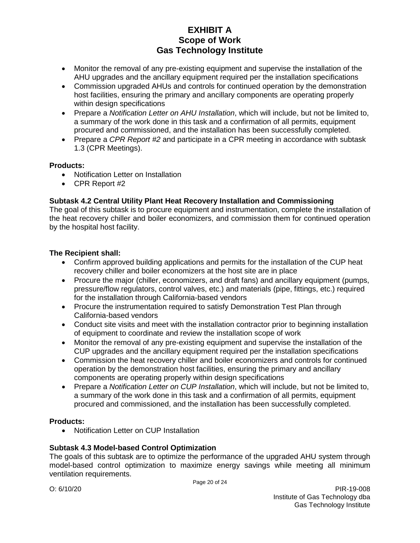- Monitor the removal of any pre-existing equipment and supervise the installation of the AHU upgrades and the ancillary equipment required per the installation specifications
- Commission upgraded AHUs and controls for continued operation by the demonstration host facilities, ensuring the primary and ancillary components are operating properly within design specifications
- Prepare a *Notification Letter on AHU Installation*, which will include, but not be limited to, a summary of the work done in this task and a confirmation of all permits, equipment procured and commissioned, and the installation has been successfully completed.
- Prepare a *CPR Report #2* and participate in a CPR meeting in accordance with subtask 1.3 (CPR Meetings).

### **Products:**

- Notification Letter on Installation
- CPR Report #2

### **Subtask 4.2 Central Utility Plant Heat Recovery Installation and Commissioning**

The goal of this subtask is to procure equipment and instrumentation, complete the installation of the heat recovery chiller and boiler economizers, and commission them for continued operation by the hospital host facility.

### **The Recipient shall:**

- Confirm approved building applications and permits for the installation of the CUP heat recovery chiller and boiler economizers at the host site are in place
- Procure the maior (chiller, economizers, and draft fans) and ancillary equipment (pumps, pressure/flow regulators, control valves, etc.) and materials (pipe, fittings, etc.) required for the installation through California-based vendors
- Procure the instrumentation required to satisfy Demonstration Test Plan through California-based vendors
- Conduct site visits and meet with the installation contractor prior to beginning installation of equipment to coordinate and review the installation scope of work
- Monitor the removal of any pre-existing equipment and supervise the installation of the CUP upgrades and the ancillary equipment required per the installation specifications
- Commission the heat recovery chiller and boiler economizers and controls for continued operation by the demonstration host facilities, ensuring the primary and ancillary components are operating properly within design specifications
- Prepare a *Notification Letter on CUP Installation*, which will include, but not be limited to, a summary of the work done in this task and a confirmation of all permits, equipment procured and commissioned, and the installation has been successfully completed.

### **Products:**

• Notification Letter on CUP Installation

## **Subtask 4.3 Model-based Control Optimization**

The goals of this subtask are to optimize the performance of the upgraded AHU system through model-based control optimization to maximize energy savings while meeting all minimum ventilation requirements.

Page 20 of 24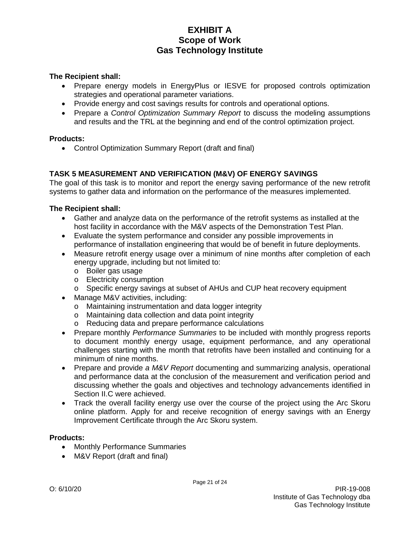### **The Recipient shall:**

- Prepare energy models in EnergyPlus or IESVE for proposed controls optimization strategies and operational parameter variations.
- Provide energy and cost savings results for controls and operational options.
- Prepare a *Control Optimization Summary Report* to discuss the modeling assumptions and results and the TRL at the beginning and end of the control optimization project.

#### **Products:**

• Control Optimization Summary Report (draft and final)

### **TASK 5 MEASUREMENT AND VERIFICATION (M&V) OF ENERGY SAVINGS**

The goal of this task is to monitor and report the energy saving performance of the new retrofit systems to gather data and information on the performance of the measures implemented.

### **The Recipient shall:**

- Gather and analyze data on the performance of the retrofit systems as installed at the host facility in accordance with the M&V aspects of the Demonstration Test Plan.
- Evaluate the system performance and consider any possible improvements in performance of installation engineering that would be of benefit in future deployments.
- Measure retrofit energy usage over a minimum of nine months after completion of each energy upgrade, including but not limited to:
	- o Boiler gas usage
	- o Electricity consumption
	- o Specific energy savings at subset of AHUs and CUP heat recovery equipment
- Manage M&V activities, including:
	- o Maintaining instrumentation and data logger integrity
	- o Maintaining data collection and data point integrity
	- o Reducing data and prepare performance calculations
- Prepare monthly *Performance Summaries* to be included with monthly progress reports to document monthly energy usage, equipment performance, and any operational challenges starting with the month that retrofits have been installed and continuing for a minimum of nine months.
- Prepare and provide *a M&V Report* documenting and summarizing analysis, operational and performance data at the conclusion of the measurement and verification period and discussing whether the goals and objectives and technology advancements identified in Section II.C were achieved.
- Track the overall facility energy use over the course of the project using the Arc Skoru online platform. Apply for and receive recognition of energy savings with an Energy Improvement Certificate through the Arc Skoru system.

### **Products:**

- Monthly Performance Summaries
- M&V Report (draft and final)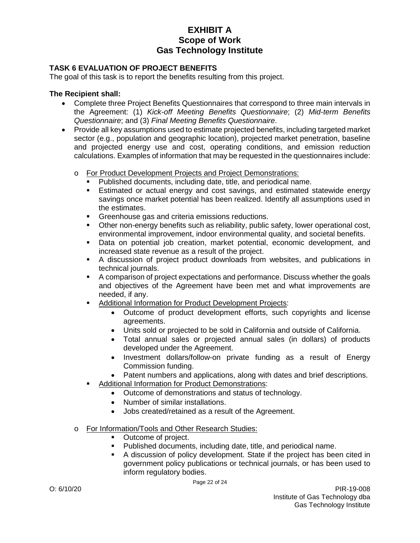## **TASK 6 EVALUATION OF PROJECT BENEFITS**

The goal of this task is to report the benefits resulting from this project.

- Complete three Project Benefits Questionnaires that correspond to three main intervals in the Agreement: (1) *Kick-off Meeting Benefits Questionnaire*; (2) *Mid-term Benefits Questionnaire*; and (3) *Final Meeting Benefits Questionnaire*.
- Provide all key assumptions used to estimate projected benefits, including targeted market sector (e.g., population and geographic location), projected market penetration, baseline and projected energy use and cost, operating conditions, and emission reduction calculations. Examples of information that may be requested in the questionnaires include:
	- o For Product Development Projects and Project Demonstrations:
		- Published documents, including date, title, and periodical name.
		- Estimated or actual energy and cost savings, and estimated statewide energy savings once market potential has been realized. Identify all assumptions used in the estimates.
		- Greenhouse gas and criteria emissions reductions.
		- Other non-energy benefits such as reliability, public safety, lower operational cost, environmental improvement, indoor environmental quality, and societal benefits.
		- Data on potential job creation, market potential, economic development, and increased state revenue as a result of the project.
		- A discussion of project product downloads from websites, and publications in technical journals.
		- A comparison of project expectations and performance. Discuss whether the goals and objectives of the Agreement have been met and what improvements are needed, if any.
		- Additional Information for Product Development Projects:
			- Outcome of product development efforts, such copyrights and license agreements.
			- Units sold or projected to be sold in California and outside of California.
			- Total annual sales or projected annual sales (in dollars) of products developed under the Agreement.
			- Investment dollars/follow-on private funding as a result of Energy Commission funding.
			- Patent numbers and applications, along with dates and brief descriptions.
		- Additional Information for Product Demonstrations:
			- Outcome of demonstrations and status of technology.
			- Number of similar installations.
			- Jobs created/retained as a result of the Agreement.
	- o For Information/Tools and Other Research Studies:
		- Outcome of project.
		- Published documents, including date, title, and periodical name.
		- A discussion of policy development. State if the project has been cited in government policy publications or technical journals, or has been used to inform regulatory bodies.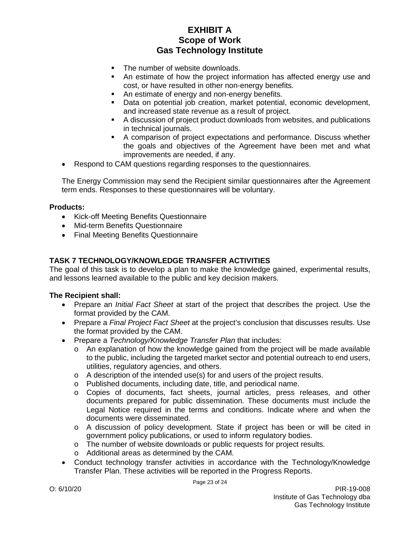- The number of website downloads.
- An estimate of how the project information has affected energy use and cost, or have resulted in other non-energy benefits.
- An estimate of energy and non-energy benefits.
- Data on potential job creation, market potential, economic development, and increased state revenue as a result of project.
- A discussion of project product downloads from websites, and publications in technical journals.
- A comparison of project expectations and performance. Discuss whether the goals and objectives of the Agreement have been met and what improvements are needed, if any.
- Respond to CAM questions regarding responses to the questionnaires.

The Energy Commission may send the Recipient similar questionnaires after the Agreement term ends. Responses to these questionnaires will be voluntary.

#### **Products:**

- Kick-off Meeting Benefits Questionnaire
- Mid-term Benefits Questionnaire
- Final Meeting Benefits Questionnaire

### **TASK 7 TECHNOLOGY/KNOWLEDGE TRANSFER ACTIVITIES**

The goal of this task is to develop a plan to make the knowledge gained, experimental results, and lessons learned available to the public and key decision makers.

- Prepare an *Initial Fact Sheet* at start of the project that describes the project. Use the format provided by the CAM.
- Prepare a *Final Project Fact Sheet* at the project's conclusion that discusses results. Use the format provided by the CAM.
- Prepare a *Technology/Knowledge Transfer Plan* that includes:
	- $\circ$  An explanation of how the knowledge gained from the project will be made available to the public, including the targeted market sector and potential outreach to end users, utilities, regulatory agencies, and others.
	- o A description of the intended use(s) for and users of the project results.
	- o Published documents, including date, title, and periodical name.
	- o Copies of documents, fact sheets, journal articles, press releases, and other documents prepared for public dissemination. These documents must include the Legal Notice required in the terms and conditions. Indicate where and when the documents were disseminated.
	- o A discussion of policy development. State if project has been or will be cited in government policy publications, or used to inform regulatory bodies.
	- o The number of website downloads or public requests for project results.
	- o Additional areas as determined by the CAM.
- Conduct technology transfer activities in accordance with the Technology/Knowledge Transfer Plan. These activities will be reported in the Progress Reports.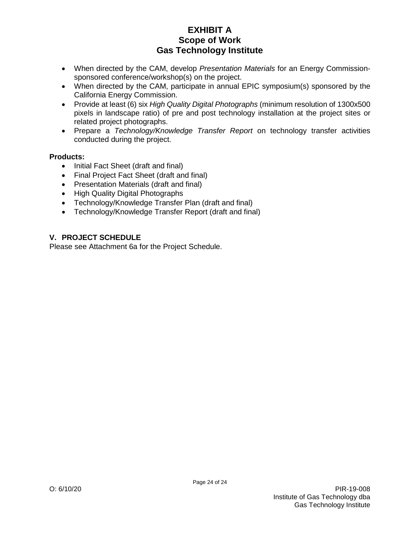- When directed by the CAM, develop *Presentation Materials* for an Energy Commissionsponsored conference/workshop(s) on the project.
- When directed by the CAM, participate in annual EPIC symposium(s) sponsored by the California Energy Commission.
- Provide at least (6) six *High Quality Digital Photographs* (minimum resolution of 1300x500 pixels in landscape ratio) of pre and post technology installation at the project sites or related project photographs.
- Prepare a *Technology/Knowledge Transfer Report* on technology transfer activities conducted during the project.

### **Products:**

- Initial Fact Sheet (draft and final)
- Final Project Fact Sheet (draft and final)
- Presentation Materials (draft and final)
- High Quality Digital Photographs
- Technology/Knowledge Transfer Plan (draft and final)
- Technology/Knowledge Transfer Report (draft and final)

## **V. PROJECT SCHEDULE**

Please see Attachment 6a for the Project Schedule.